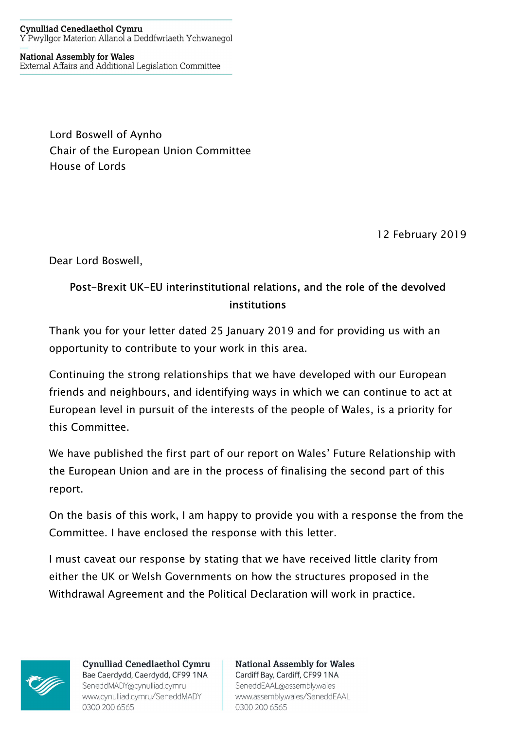#### **Cynulliad Cenedlaethol Cymru** Y Pwyllgor Materion Allanol a Deddfwriaeth Ychwanegol

**National Assembly for Wales** External Affairs and Additional Legislation Committee

> Lord Boswell of Aynho Chair of the European Union Committee House of Lords

> > 12 February 2019

Dear Lord Boswell,

#### Post-Brexit UK-EU interinstitutional relations, and the role of the devolved institutions

Thank you for your letter dated 25 January 2019 and for providing us with an opportunity to contribute to your work in this area.

Continuing the strong relationships that we have developed with our European friends and neighbours, and identifying ways in which we can continue to act at European level in pursuit of the interests of the people of Wales, is a priority for this Committee.

We have published the first part of our report on Wales' Future Relationship with the European Union and are in the process of finalising the second part of this report.

On the basis of this work, I am happy to provide you with a response the from the Committee. I have enclosed the response with this letter.

I must caveat our response by stating that we have received little clarity from either the UK or Welsh Governments on how the structures proposed in the Withdrawal Agreement and the Political Declaration will work in practice.



**Cynulliad Cenedlaethol Cymru** Bae Caerdydd, Caerdydd, CF99 1NA SeneddMADY@cynulliad.cymru www.cynulliad.cymru/SeneddMADY 0300 200 6565

**National Assembly for Wales** Cardiff Bay, Cardiff, CF99 1NA SeneddEAAL@assembly.wales www.assembly.wales/SeneddEAAL 0300 200 6565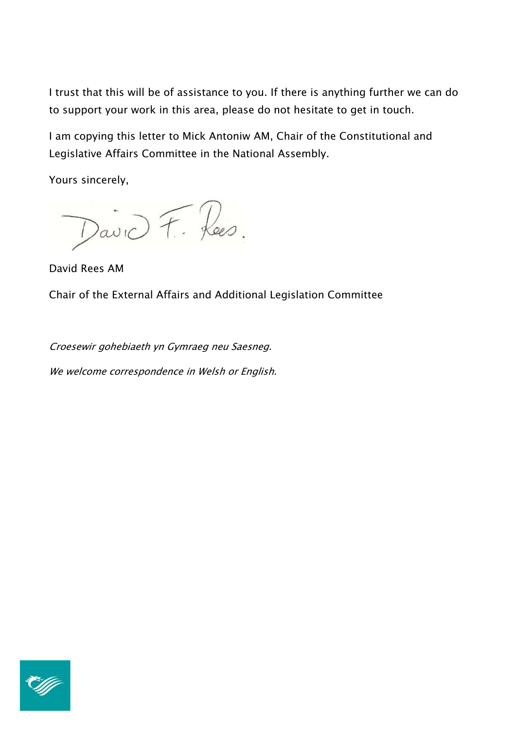I trust that this will be of assistance to you. If there is anything further we can do to support your work in this area, please do not hesitate to get in touch.

I am copying this letter to Mick Antoniw AM, Chair of the Constitutional and Legislative Affairs Committee in the National Assembly.

Yours sincerely,

David F. Rees.

David Rees AM

Chair of the External Affairs and Additional Legislation Committee

Croesewir gohebiaeth yn Gymraeg neu Saesneg.

We welcome correspondence in Welsh or English.

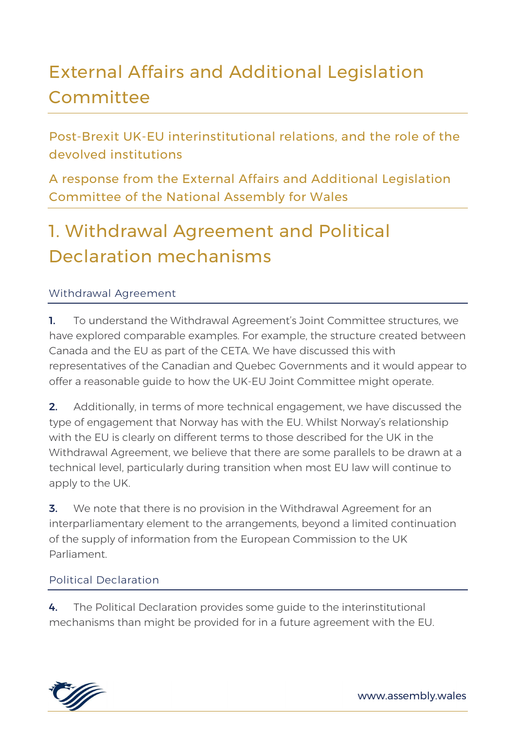# External Affairs and Additional Legislation **Committee**

Post-Brexit UK-EU interinstitutional relations, and the role of the devolved institutions

A response from the External Affairs and Additional Legislation Committee of the National Assembly for Wales

# 1. Withdrawal Agreement and Political Declaration mechanisms

#### Withdrawal Agreement

1. To understand the Withdrawal Agreement's Joint Committee structures, we have explored comparable examples. For example, the structure created between Canada and the EU as part of the CETA. We have discussed this with representatives of the Canadian and Quebec Governments and it would appear to offer a reasonable guide to how the UK-EU Joint Committee might operate.

**2.** Additionally, in terms of more technical engagement, we have discussed the type of engagement that Norway has with the EU. Whilst Norway's relationship with the EU is clearly on different terms to those described for the UK in the Withdrawal Agreement, we believe that there are some parallels to be drawn at a technical level, particularly during transition when most EU law will continue to apply to the UK.

**3.** We note that there is no provision in the Withdrawal Agreement for an interparliamentary element to the arrangements, beyond a limited continuation of the supply of information from the European Commission to the UK Parliament.

#### Political Declaration

4. The Political Declaration provides some quide to the interinstitutional mechanisms than might be provided for in a future agreement with the EU.

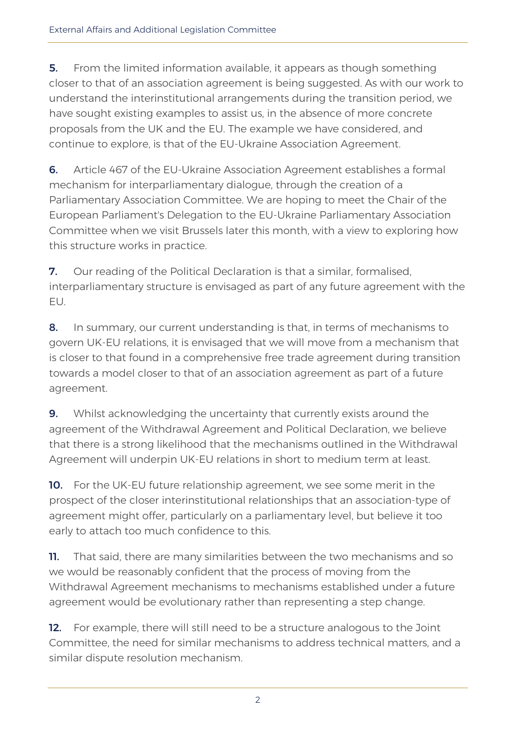**5.** From the limited information available, it appears as though something closer to that of an association agreement is being suggested. As with our work to understand the interinstitutional arrangements during the transition period, we have sought existing examples to assist us, in the absence of more concrete proposals from the UK and the EU. The example we have considered, and continue to explore, is that of the EU-Ukraine Association Agreement.

6. Article 467 of the EU-Ukraine Association Agreement establishes a formal mechanism for interparliamentary dialogue, through the creation of a Parliamentary Association Committee. We are hoping to meet the Chair of the European Parliament's Delegation to the EU-Ukraine Parliamentary Association Committee when we visit Brussels later this month, with a view to exploring how this structure works in practice.

7. Our reading of the Political Declaration is that a similar, formalised, interparliamentary structure is envisaged as part of any future agreement with the EU.

8. In summary, our current understanding is that, in terms of mechanisms to govern UK-EU relations, it is envisaged that we will move from a mechanism that is closer to that found in a comprehensive free trade agreement during transition towards a model closer to that of an association agreement as part of a future agreement.

**9.** Whilst acknowledging the uncertainty that currently exists around the agreement of the Withdrawal Agreement and Political Declaration, we believe that there is a strong likelihood that the mechanisms outlined in the Withdrawal Agreement will underpin UK-EU relations in short to medium term at least.

10. For the UK-EU future relationship agreement, we see some merit in the prospect of the closer interinstitutional relationships that an association-type of agreement might offer, particularly on a parliamentary level, but believe it too early to attach too much confidence to this.

**11.** That said, there are many similarities between the two mechanisms and so we would be reasonably confident that the process of moving from the Withdrawal Agreement mechanisms to mechanisms established under a future agreement would be evolutionary rather than representing a step change.

12. For example, there will still need to be a structure analogous to the Joint Committee, the need for similar mechanisms to address technical matters, and a similar dispute resolution mechanism.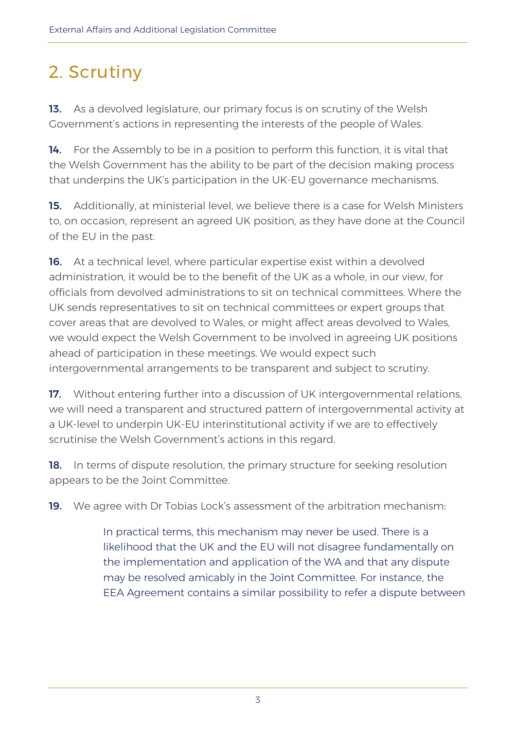# 2. Scrutiny

13. As a devolved legislature, our primary focus is on scrutiny of the Welsh Government's actions in representing the interests of the people of Wales.

14. For the Assembly to be in a position to perform this function, it is vital that the Welsh Government has the ability to be part of the decision making process that underpins the UK's participation in the UK-EU governance mechanisms.

15. Additionally, at ministerial level, we believe there is a case for Welsh Ministers to, on occasion, represent an agreed UK position, as they have done at the Council of the EU in the past.

16. At a technical level, where particular expertise exist within a devolved administration, it would be to the benefit of the UK as a whole, in our view, for officials from devolved administrations to sit on technical committees. Where the UK sends representatives to sit on technical committees or expert groups that cover areas that are devolved to Wales, or might affect areas devolved to Wales, we would expect the Welsh Government to be involved in agreeing UK positions ahead of participation in these meetings. We would expect such intergovernmental arrangements to be transparent and subject to scrutiny.

17. Without entering further into a discussion of UK intergovernmental relations, we will need a transparent and structured pattern of intergovernmental activity at a UK-level to underpin UK-EU interinstitutional activity if we are to effectively scrutinise the Welsh Government's actions in this regard.

**18.** In terms of dispute resolution, the primary structure for seeking resolution appears to be the Joint Committee.

19. We agree with Dr Tobias Lock's assessment of the arbitration mechanism:

In practical terms, this mechanism may never be used. There is a likelihood that the UK and the EU will not disagree fundamentally on the implementation and application of the WA and that any dispute may be resolved amicably in the Joint Committee. For instance, the EEA Agreement contains a similar possibility to refer a dispute between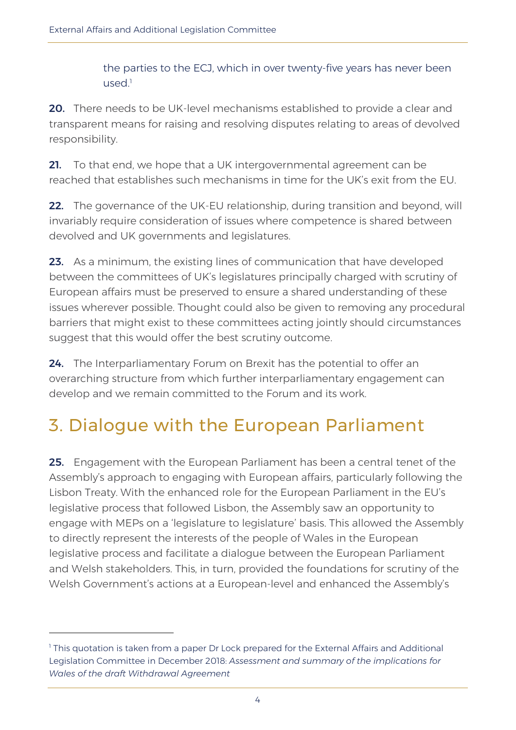the parties to the ECJ, which in over twenty-five years has never been used.<sup>1</sup>

20. There needs to be UK-level mechanisms established to provide a clear and transparent means for raising and resolving disputes relating to areas of devolved responsibility.

21. To that end, we hope that a UK intergovernmental agreement can be reached that establishes such mechanisms in time for the UK's exit from the EU.

22. The governance of the UK-EU relationship, during transition and beyond, will invariably require consideration of issues where competence is shared between devolved and UK governments and legislatures.

23. As a minimum, the existing lines of communication that have developed between the committees of UK's legislatures principally charged with scrutiny of European affairs must be preserved to ensure a shared understanding of these issues wherever possible. Thought could also be given to removing any procedural barriers that might exist to these committees acting jointly should circumstances suggest that this would offer the best scrutiny outcome.

24. The Interparliamentary Forum on Brexit has the potential to offer an overarching structure from which further interparliamentary engagement can develop and we remain committed to the Forum and its work.

#### 3. Dialogue with the European Parliament

25. Engagement with the European Parliament has been a central tenet of the Assembly's approach to engaging with European affairs, particularly following the Lisbon Treaty. With the enhanced role for the European Parliament in the EU's legislative process that followed Lisbon, the Assembly saw an opportunity to engage with MEPs on a 'legislature to legislature' basis. This allowed the Assembly to directly represent the interests of the people of Wales in the European legislative process and facilitate a dialogue between the European Parliament and Welsh stakeholders. This, in turn, provided the foundations for scrutiny of the Welsh Government's actions at a European-level and enhanced the Assembly's

-

<sup>1</sup> This quotation is taken from a paper Dr Lock prepared for the External Affairs and Additional Legislation Committee in December 2018: Assessment and summary of the implications for Wales of the draft Withdrawal Agreement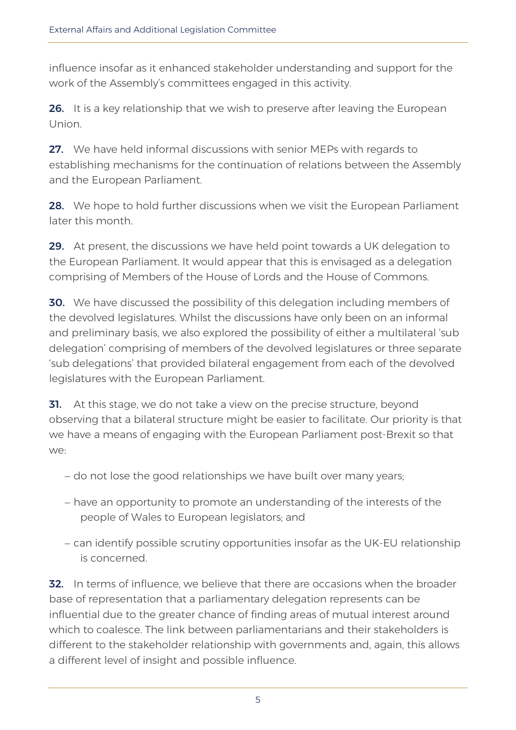influence insofar as it enhanced stakeholder understanding and support for the work of the Assembly's committees engaged in this activity.

26. It is a key relationship that we wish to preserve after leaving the European Union.

27. We have held informal discussions with senior MEPs with regards to establishing mechanisms for the continuation of relations between the Assembly and the European Parliament.

28. We hope to hold further discussions when we visit the European Parliament later this month.

29. At present, the discussions we have held point towards a UK delegation to the European Parliament. It would appear that this is envisaged as a delegation comprising of Members of the House of Lords and the House of Commons.

**30.** We have discussed the possibility of this delegation including members of the devolved legislatures. Whilst the discussions have only been on an informal and preliminary basis, we also explored the possibility of either a multilateral 'sub delegation' comprising of members of the devolved legislatures or three separate 'sub delegations' that provided bilateral engagement from each of the devolved legislatures with the European Parliament.

**31.** At this stage, we do not take a view on the precise structure, beyond observing that a bilateral structure might be easier to facilitate. Our priority is that we have a means of engaging with the European Parliament post-Brexit so that we:

- do not lose the good relationships we have built over many years;
- have an opportunity to promote an understanding of the interests of the people of Wales to European legislators; and
- can identify possible scrutiny opportunities insofar as the UK-EU relationship is concerned.

**32.** In terms of influence, we believe that there are occasions when the broader base of representation that a parliamentary delegation represents can be influential due to the greater chance of finding areas of mutual interest around which to coalesce. The link between parliamentarians and their stakeholders is different to the stakeholder relationship with governments and, again, this allows a different level of insight and possible influence.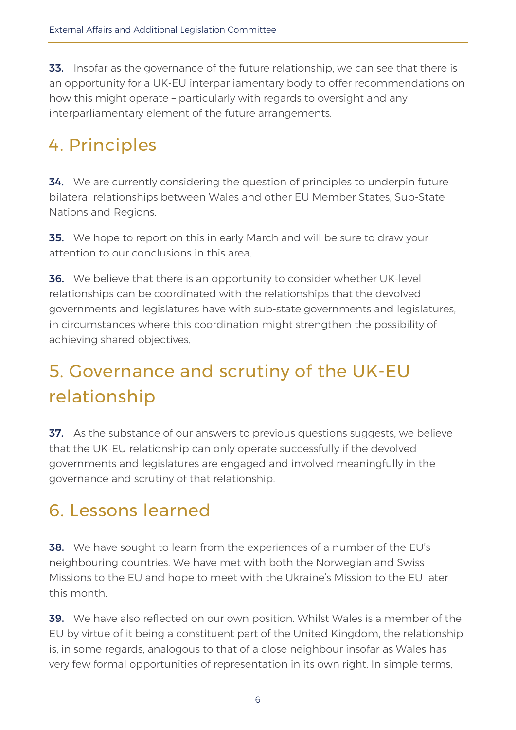**33.** Insofar as the governance of the future relationship, we can see that there is an opportunity for a UK-EU interparliamentary body to offer recommendations on how this might operate – particularly with regards to oversight and any interparliamentary element of the future arrangements.

#### 4. Principles

34. We are currently considering the question of principles to underpin future bilateral relationships between Wales and other EU Member States, Sub-State Nations and Regions.

**35.** We hope to report on this in early March and will be sure to draw your attention to our conclusions in this area.

**36.** We believe that there is an opportunity to consider whether UK-level relationships can be coordinated with the relationships that the devolved governments and legislatures have with sub-state governments and legislatures, in circumstances where this coordination might strengthen the possibility of achieving shared objectives.

# 5. Governance and scrutiny of the UK-EU relationship

37. As the substance of our answers to previous questions suggests, we believe that the UK-EU relationship can only operate successfully if the devolved governments and legislatures are engaged and involved meaningfully in the governance and scrutiny of that relationship.

#### 6. Lessons learned

**38.** We have sought to learn from the experiences of a number of the EU's neighbouring countries. We have met with both the Norwegian and Swiss Missions to the EU and hope to meet with the Ukraine's Mission to the EU later this month.

**39.** We have also reflected on our own position. Whilst Wales is a member of the EU by virtue of it being a constituent part of the United Kingdom, the relationship is, in some regards, analogous to that of a close neighbour insofar as Wales has very few formal opportunities of representation in its own right. In simple terms,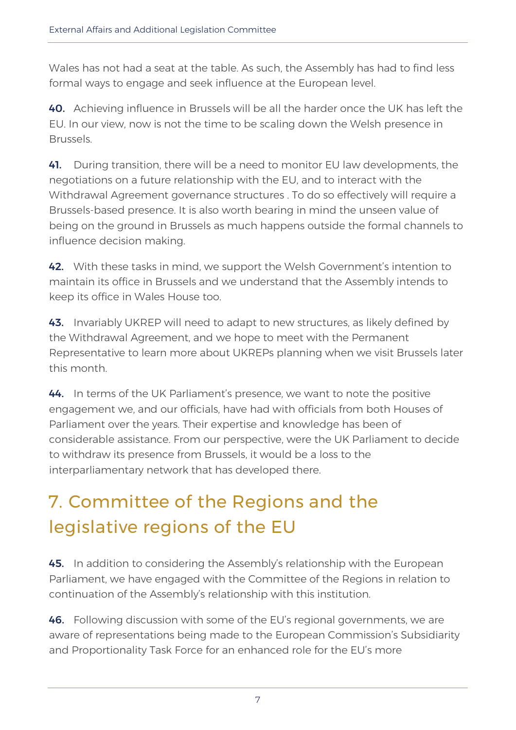Wales has not had a seat at the table. As such, the Assembly has had to find less formal ways to engage and seek influence at the European level.

40. Achieving influence in Brussels will be all the harder once the UK has left the EU. In our view, now is not the time to be scaling down the Welsh presence in Brussels.

41. During transition, there will be a need to monitor EU law developments, the negotiations on a future relationship with the EU, and to interact with the Withdrawal Agreement governance structures . To do so effectively will require a Brussels-based presence. It is also worth bearing in mind the unseen value of being on the ground in Brussels as much happens outside the formal channels to influence decision making.

42. With these tasks in mind, we support the Welsh Government's intention to maintain its office in Brussels and we understand that the Assembly intends to keep its office in Wales House too.

43. Invariably UKREP will need to adapt to new structures, as likely defined by the Withdrawal Agreement, and we hope to meet with the Permanent Representative to learn more about UKREPs planning when we visit Brussels later this month.

44. In terms of the UK Parliament's presence, we want to note the positive engagement we, and our officials, have had with officials from both Houses of Parliament over the years. Their expertise and knowledge has been of considerable assistance. From our perspective, were the UK Parliament to decide to withdraw its presence from Brussels, it would be a loss to the interparliamentary network that has developed there.

# 7. Committee of the Regions and the legislative regions of the EU

45. In addition to considering the Assembly's relationship with the European Parliament, we have engaged with the Committee of the Regions in relation to continuation of the Assembly's relationship with this institution.

**46.** Following discussion with some of the EU's regional governments, we are aware of representations being made to the European Commission's Subsidiarity and Proportionality Task Force for an enhanced role for the EU's more